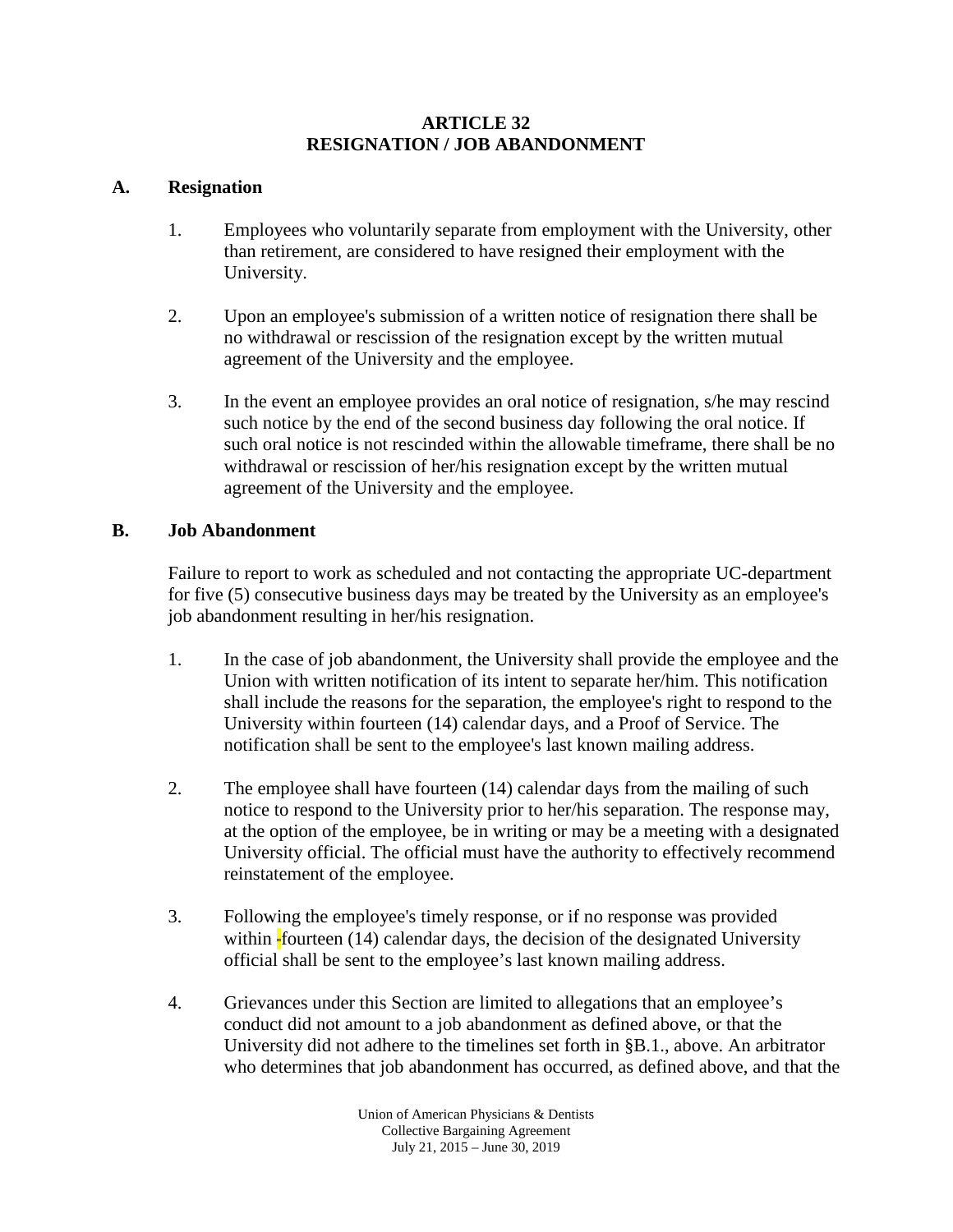## **ARTICLE 32 RESIGNATION / JOB ABANDONMENT**

## **A. Resignation**

- 1. Employees who voluntarily separate from employment with the University, other than retirement, are considered to have resigned their employment with the University.
- 2. Upon an employee's submission of a written notice of resignation there shall be no withdrawal or rescission of the resignation except by the written mutual agreement of the University and the employee.
- 3. In the event an employee provides an oral notice of resignation, s/he may rescind such notice by the end of the second business day following the oral notice. If such oral notice is not rescinded within the allowable timeframe, there shall be no withdrawal or rescission of her/his resignation except by the written mutual agreement of the University and the employee.

## **B. Job Abandonment**

Failure to report to work as scheduled and not contacting the appropriate UC-department for five (5) consecutive business days may be treated by the University as an employee's job abandonment resulting in her/his resignation.

- 1. In the case of job abandonment, the University shall provide the employee and the Union with written notification of its intent to separate her/him. This notification shall include the reasons for the separation, the employee's right to respond to the University within fourteen (14) calendar days, and a Proof of Service. The notification shall be sent to the employee's last known mailing address.
- 2. The employee shall have fourteen (14) calendar days from the mailing of such notice to respond to the University prior to her/his separation. The response may, at the option of the employee, be in writing or may be a meeting with a designated University official. The official must have the authority to effectively recommend reinstatement of the employee.
- 3. Following the employee's timely response, or if no response was provided within  $\frac{1}{2}$  fourteen (14) calendar days, the decision of the designated University official shall be sent to the employee's last known mailing address.
- 4. Grievances under this Section are limited to allegations that an employee's conduct did not amount to a job abandonment as defined above, or that the University did not adhere to the timelines set forth in §B.1., above. An arbitrator who determines that job abandonment has occurred, as defined above, and that the